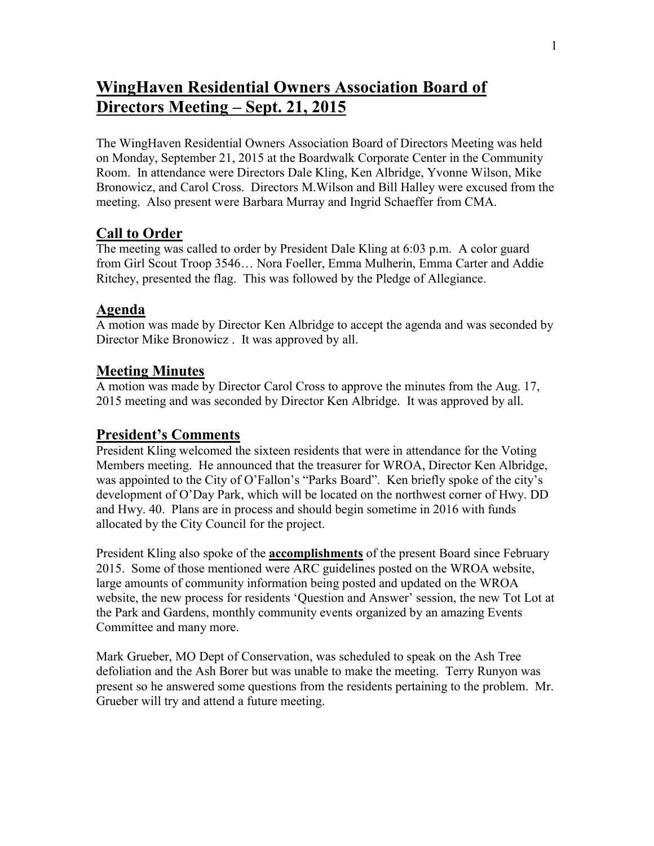# **WingHaven Residential Owners Association Board of Directors Meeting – Sept. 21, 2015**

The WingHaven Residential Owners Association Board of Directors Meeting was held on Monday, September 21, 2015 at the Boardwalk Corporate Center in the Community Room. In attendance were Directors Dale Kling, Ken Albridge, Yvonne Wilson, Mike Bronowicz, and Carol Cross. Directors M.Wilson and Bill Halley were excused from the meeting. Also present were Barbara Murray and Ingrid Schaeffer from CMA.

# **Call to Order**

The meeting was called to order by President Dale Kling at 6:03 p.m. A color guard from Girl Scout Troop 3546… Nora Foeller, Emma Mulherin, Emma Carter and Addie Ritchey, presented the flag. This was followed by the Pledge of Allegiance.

## **Agenda**

A motion was made by Director Ken Albridge to accept the agenda and was seconded by Director Mike Bronowicz . It was approved by all.

## **Meeting Minutes**

A motion was made by Director Carol Cross to approve the minutes from the Aug. 17, 2015 meeting and was seconded by Director Ken Albridge. It was approved by all.

## **President's Comments**

President Kling welcomed the sixteen residents that were in attendance for the Voting Members meeting. He announced that the treasurer for WROA, Director Ken Albridge, was appointed to the City of O'Fallon's "Parks Board". Ken briefly spoke of the city's development of O'Day Park, which will be located on the northwest corner of Hwy. DD and Hwy. 40. Plans are in process and should begin sometime in 2016 with funds allocated by the City Council for the project.

President Kling also spoke of the **accomplishments** of the present Board since February 2015. Some of those mentioned were ARC guidelines posted on the WROA website, large amounts of community information being posted and updated on the WROA website, the new process for residents 'Question and Answer' session, the new Tot Lot at the Park and Gardens, monthly community events organized by an amazing Events Committee and many more.

Mark Grueber, MO Dept of Conservation, was scheduled to speak on the Ash Tree defoliation and the Ash Borer but was unable to make the meeting. Terry Runyon was present so he answered some questions from the residents pertaining to the problem. Mr. Grueber will try and attend a future meeting.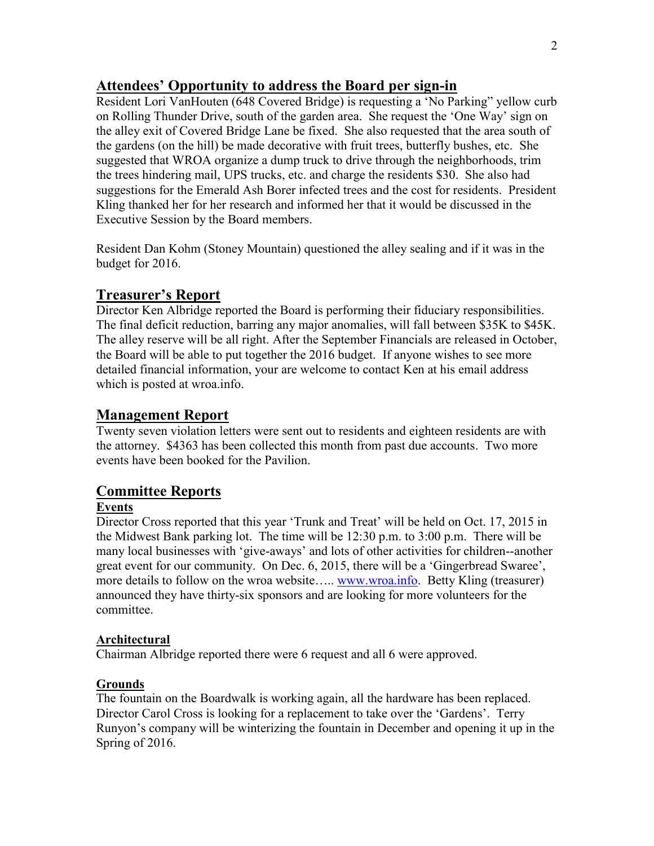# **Attendees' Opportunity to address the Board per sign-in**

Resident Lori VanHouten (648 Covered Bridge) is requesting a 'No Parking" yellow curb on Rolling Thunder Drive, south of the garden area. She request the 'One Way' sign on the alley exit of Covered Bridge Lane be fixed. She also requested that the area south of the gardens (on the hill) be made decorative with fruit trees, butterfly bushes, etc. She suggested that WROA organize a dump truck to drive through the neighborhoods, trim the trees hindering mail, UPS trucks, etc. and charge the residents \$30. She also had suggestions for the Emerald Ash Borer infected trees and the cost for residents. President Kling thanked her for her research and informed her that it would be discussed in the Executive Session by the Board members.

Resident Dan Kohm (Stoney Mountain) questioned the alley sealing and if it was in the budget for 2016.

# **Treasurer's Report**

Director Ken Albridge reported the Board is performing their fiduciary responsibilities. The final deficit reduction, barring any major anomalies, will fall between \$35K to \$45K. The alley reserve will be all right. After the September Financials are released in October, the Board will be able to put together the 2016 budget. If anyone wishes to see more detailed financial information, your are welcome to contact Ken at his email address which is posted at wroa.info.

## **Management Report**

Twenty seven violation letters were sent out to residents and eighteen residents are with the attorney. \$4363 has been collected this month from past due accounts. Two more events have been booked for the Pavilion.

# **Committee Reports**

#### **Events**

Director Cross reported that this year 'Trunk and Treat' will be held on Oct. 17, 2015 in the Midwest Bank parking lot. The time will be 12:30 p.m. to 3:00 p.m. There will be many local businesses with 'give-aways' and lots of other activities for children--another great event for our community. On Dec. 6, 2015, there will be a 'Gingerbread Swaree', more details to follow on the wroa website..... [www.wroa.info.](http://www.wroa.info/) Betty Kling (treasurer) announced they have thirty-six sponsors and are looking for more volunteers for the committee.

#### **Architectural**

Chairman Albridge reported there were 6 request and all 6 were approved.

## **Grounds**

The fountain on the Boardwalk is working again, all the hardware has been replaced. Director Carol Cross is looking for a replacement to take over the 'Gardens'. Terry Runyon's company will be winterizing the fountain in December and opening it up in the Spring of 2016.